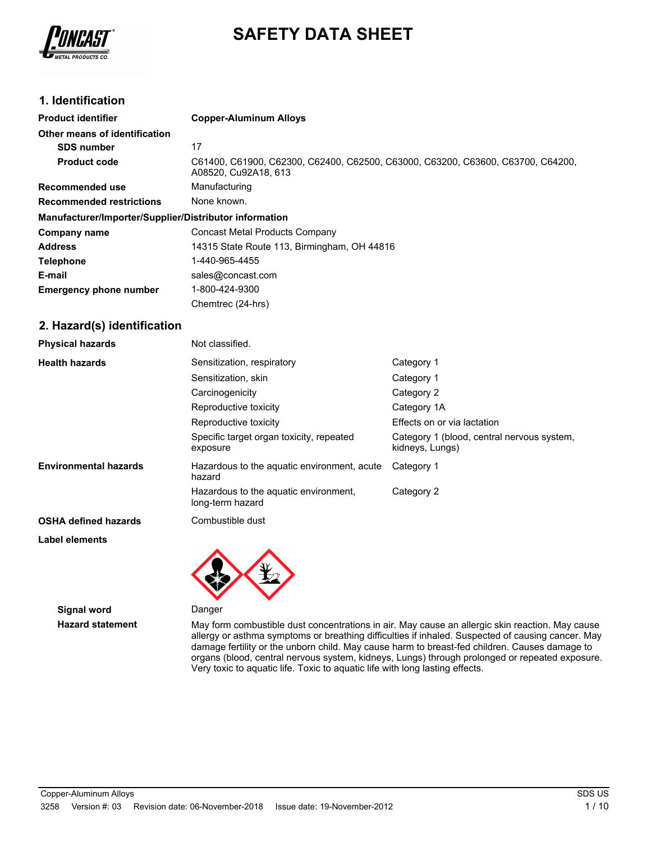

# **SAFETY DATA SHEET**

### **1. Identification**

| <b>Product identifier</b>                              | <b>Copper-Aluminum Alloys</b>                                                                           |  |
|--------------------------------------------------------|---------------------------------------------------------------------------------------------------------|--|
| Other means of identification                          |                                                                                                         |  |
| <b>SDS number</b>                                      | 17                                                                                                      |  |
| <b>Product code</b>                                    | C61400, C61900, C62300, C62400, C62500, C63000, C63200, C63600, C63700, C64200,<br>A08520, Cu92A18, 613 |  |
| Recommended use                                        | Manufacturing                                                                                           |  |
| <b>Recommended restrictions</b>                        | None known.                                                                                             |  |
| Manufacturer/Importer/Supplier/Distributor information |                                                                                                         |  |
| Company name                                           | Concast Metal Products Company                                                                          |  |
| <b>Address</b>                                         | 14315 State Route 113, Birmingham, OH 44816                                                             |  |
| <b>Telephone</b>                                       | 1-440-965-4455                                                                                          |  |
| E-mail                                                 | sales@concast.com                                                                                       |  |
| <b>Emergency phone number</b>                          | 1-800-424-9300                                                                                          |  |
|                                                        | Chemtrec (24-hrs)                                                                                       |  |

### **2. Hazard(s) identification**

| <b>Physical hazards</b>      | Not classified.                                           |                                                               |
|------------------------------|-----------------------------------------------------------|---------------------------------------------------------------|
| <b>Health hazards</b>        | Sensitization, respiratory                                | Category 1                                                    |
|                              | Sensitization, skin                                       | Category 1                                                    |
|                              | Carcinogenicity                                           | Category 2                                                    |
|                              | Reproductive toxicity                                     | Category 1A                                                   |
|                              | Reproductive toxicity                                     | Effects on or via lactation                                   |
|                              | Specific target organ toxicity, repeated<br>exposure      | Category 1 (blood, central nervous system,<br>kidneys, Lungs) |
| <b>Environmental hazards</b> | Hazardous to the aquatic environment, acute<br>hazard     | Category 1                                                    |
|                              | Hazardous to the aguatic environment.<br>long-term hazard | Category 2                                                    |
| <b>OSHA defined hazards</b>  | Combustible dust                                          |                                                               |
|                              |                                                           |                                                               |

#### **Label elements**

**Signal word** Danger

**Hazard statement** May form combustible dust concentrations in air. May cause an allergic skin reaction. May cause allergy or asthma symptoms or breathing difficulties if inhaled. Suspected of causing cancer. May damage fertility or the unborn child. May cause harm to breast-fed children. Causes damage to organs (blood, central nervous system, kidneys, Lungs) through prolonged or repeated exposure. Very toxic to aquatic life. Toxic to aquatic life with long lasting effects.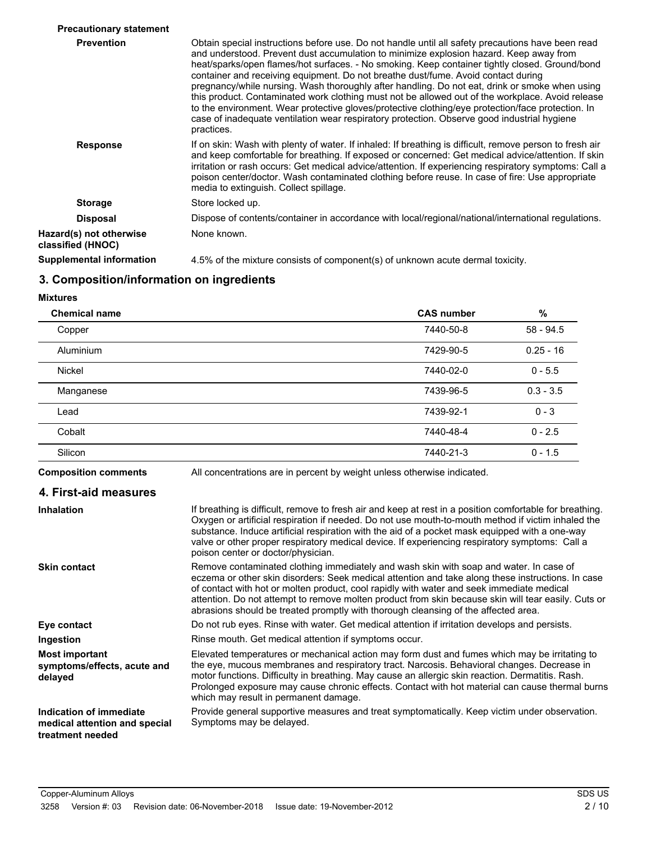| <b>Precautionary statement</b>               |                                                                                                                                                                                                                                                                                                                                                                                                                                                                                                                                                                                                                                                                                                                                                                                                            |
|----------------------------------------------|------------------------------------------------------------------------------------------------------------------------------------------------------------------------------------------------------------------------------------------------------------------------------------------------------------------------------------------------------------------------------------------------------------------------------------------------------------------------------------------------------------------------------------------------------------------------------------------------------------------------------------------------------------------------------------------------------------------------------------------------------------------------------------------------------------|
| <b>Prevention</b>                            | Obtain special instructions before use. Do not handle until all safety precautions have been read<br>and understood. Prevent dust accumulation to minimize explosion hazard. Keep away from<br>heat/sparks/open flames/hot surfaces. - No smoking. Keep container tightly closed. Ground/bond<br>container and receiving equipment. Do not breathe dust/fume. Avoid contact during<br>pregnancy/while nursing. Wash thoroughly after handling. Do not eat, drink or smoke when using<br>this product. Contaminated work clothing must not be allowed out of the workplace. Avoid release<br>to the environment. Wear protective gloves/protective clothing/eye protection/face protection. In<br>case of inadequate ventilation wear respiratory protection. Observe good industrial hygiene<br>practices. |
| <b>Response</b>                              | If on skin: Wash with plenty of water. If inhaled: If breathing is difficult, remove person to fresh air<br>and keep comfortable for breathing. If exposed or concerned: Get medical advice/attention. If skin<br>irritation or rash occurs: Get medical advice/attention. If experiencing respiratory symptoms: Call a<br>poison center/doctor. Wash contaminated clothing before reuse. In case of fire: Use appropriate<br>media to extinguish. Collect spillage.                                                                                                                                                                                                                                                                                                                                       |
| <b>Storage</b>                               | Store locked up.                                                                                                                                                                                                                                                                                                                                                                                                                                                                                                                                                                                                                                                                                                                                                                                           |
| <b>Disposal</b>                              | Dispose of contents/container in accordance with local/regional/national/international regulations.                                                                                                                                                                                                                                                                                                                                                                                                                                                                                                                                                                                                                                                                                                        |
| Hazard(s) not otherwise<br>classified (HNOC) | None known.                                                                                                                                                                                                                                                                                                                                                                                                                                                                                                                                                                                                                                                                                                                                                                                                |
| Supplemental information                     | 4.5% of the mixture consists of component(s) of unknown acute dermal toxicity.                                                                                                                                                                                                                                                                                                                                                                                                                                                                                                                                                                                                                                                                                                                             |
|                                              |                                                                                                                                                                                                                                                                                                                                                                                                                                                                                                                                                                                                                                                                                                                                                                                                            |

### **3. Composition/information on ingredients**

**Mixtures**

| <b>Chemical name</b> | <b>CAS number</b> | $\%$        |
|----------------------|-------------------|-------------|
| Copper               | 7440-50-8         | $58 - 94.5$ |
| <b>Aluminium</b>     | 7429-90-5         | $0.25 - 16$ |
| Nickel               | 7440-02-0         | $0 - 5.5$   |
| Manganese            | 7439-96-5         | $0.3 - 3.5$ |
| Lead                 | 7439-92-1         | $0 - 3$     |
| Cobalt               | 7440-48-4         | $0 - 2.5$   |
| Silicon              | 7440-21-3         | $0 - 1.5$   |
|                      |                   |             |

**Composition comments** All concentrations are in percent by weight unless otherwise indicated.

| 4. First-aid measures |  |
|-----------------------|--|
|-----------------------|--|

| <b>Inhalation</b>                                                            | If breathing is difficult, remove to fresh air and keep at rest in a position comfortable for breathing.<br>Oxygen or artificial respiration if needed. Do not use mouth-to-mouth method if victim inhaled the<br>substance. Induce artificial respiration with the aid of a pocket mask equipped with a one-way<br>valve or other proper respiratory medical device. If experiencing respiratory symptoms: Call a<br>poison center or doctor/physician.                              |
|------------------------------------------------------------------------------|---------------------------------------------------------------------------------------------------------------------------------------------------------------------------------------------------------------------------------------------------------------------------------------------------------------------------------------------------------------------------------------------------------------------------------------------------------------------------------------|
| <b>Skin contact</b>                                                          | Remove contaminated clothing immediately and wash skin with soap and water. In case of<br>eczema or other skin disorders: Seek medical attention and take along these instructions. In case<br>of contact with hot or molten product, cool rapidly with water and seek immediate medical<br>attention. Do not attempt to remove molten product from skin because skin will tear easily. Cuts or<br>abrasions should be treated promptly with thorough cleansing of the affected area. |
| Eye contact                                                                  | Do not rub eyes. Rinse with water. Get medical attention if irritation develops and persists.                                                                                                                                                                                                                                                                                                                                                                                         |
| Ingestion                                                                    | Rinse mouth. Get medical attention if symptoms occur.                                                                                                                                                                                                                                                                                                                                                                                                                                 |
| <b>Most important</b><br>symptoms/effects, acute and<br>delayed              | Elevated temperatures or mechanical action may form dust and fumes which may be irritating to<br>the eye, mucous membranes and respiratory tract. Narcosis. Behavioral changes. Decrease in<br>motor functions. Difficulty in breathing. May cause an allergic skin reaction. Dermatitis. Rash.<br>Prolonged exposure may cause chronic effects. Contact with hot material can cause thermal burns<br>which may result in permanent damage.                                           |
| Indication of immediate<br>medical attention and special<br>treatment needed | Provide general supportive measures and treat symptomatically. Keep victim under observation.<br>Symptoms may be delayed.                                                                                                                                                                                                                                                                                                                                                             |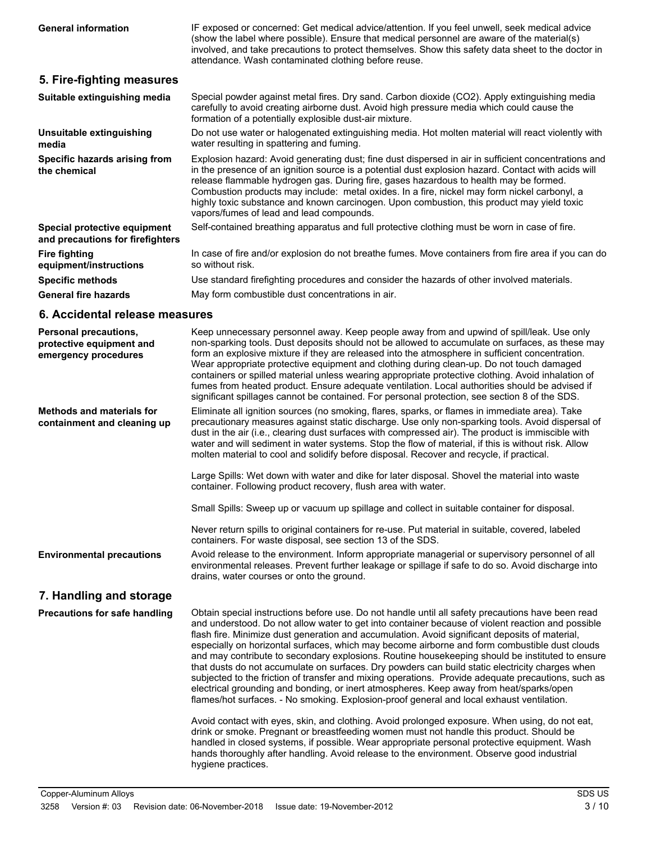IF exposed or concerned: Get medical advice/attention. If you feel unwell, seek medical advice (show the label where possible). Ensure that medical personnel are aware of the material(s) involved, and take precautions to protect themselves. Show this safety data sheet to the doctor in **General information**

### **5. Fire-fighting measures**

| Suitable extinguishing media                                     | Special powder against metal fires. Dry sand. Carbon dioxide (CO2). Apply extinguishing media<br>carefully to avoid creating airborne dust. Avoid high pressure media which could cause the<br>formation of a potentially explosible dust-air mixture.                                                                                                                                                                                                                                                                                         |
|------------------------------------------------------------------|------------------------------------------------------------------------------------------------------------------------------------------------------------------------------------------------------------------------------------------------------------------------------------------------------------------------------------------------------------------------------------------------------------------------------------------------------------------------------------------------------------------------------------------------|
| Unsuitable extinguishing<br>media                                | Do not use water or halogenated extinguishing media. Hot molten material will react violently with<br>water resulting in spattering and fuming.                                                                                                                                                                                                                                                                                                                                                                                                |
| Specific hazards arising from<br>the chemical                    | Explosion hazard: Avoid generating dust; fine dust dispersed in air in sufficient concentrations and<br>in the presence of an ignition source is a potential dust explosion hazard. Contact with acids will<br>release flammable hydrogen gas. During fire, gases hazardous to health may be formed.<br>Combustion products may include: metal oxides. In a fire, nickel may form nickel carbonyl, a<br>highly toxic substance and known carcinogen. Upon combustion, this product may yield toxic<br>vapors/fumes of lead and lead compounds. |
| Special protective equipment<br>and precautions for firefighters | Self-contained breathing apparatus and full protective clothing must be worn in case of fire.                                                                                                                                                                                                                                                                                                                                                                                                                                                  |
| <b>Fire fighting</b><br>equipment/instructions                   | In case of fire and/or explosion do not breathe fumes. Move containers from fire area if you can do<br>so without risk.                                                                                                                                                                                                                                                                                                                                                                                                                        |
| <b>Specific methods</b>                                          | Use standard firefighting procedures and consider the hazards of other involved materials.                                                                                                                                                                                                                                                                                                                                                                                                                                                     |
| <b>General fire hazards</b>                                      | May form combustible dust concentrations in air.                                                                                                                                                                                                                                                                                                                                                                                                                                                                                               |

attendance. Wash contaminated clothing before reuse.

### **6. Accidental release measures**

| <b>Personal precautions,</b><br>protective equipment and<br>emergency procedures | Keep unnecessary personnel away. Keep people away from and upwind of spill/leak. Use only<br>non-sparking tools. Dust deposits should not be allowed to accumulate on surfaces, as these may<br>form an explosive mixture if they are released into the atmosphere in sufficient concentration.<br>Wear appropriate protective equipment and clothing during clean-up. Do not touch damaged<br>containers or spilled material unless wearing appropriate protective clothing. Avoid inhalation of<br>fumes from heated product. Ensure adequate ventilation. Local authorities should be advised if<br>significant spillages cannot be contained. For personal protection, see section 8 of the SDS.                                                                                                                                                                                                          |
|----------------------------------------------------------------------------------|---------------------------------------------------------------------------------------------------------------------------------------------------------------------------------------------------------------------------------------------------------------------------------------------------------------------------------------------------------------------------------------------------------------------------------------------------------------------------------------------------------------------------------------------------------------------------------------------------------------------------------------------------------------------------------------------------------------------------------------------------------------------------------------------------------------------------------------------------------------------------------------------------------------|
| <b>Methods and materials for</b><br>containment and cleaning up                  | Eliminate all ignition sources (no smoking, flares, sparks, or flames in immediate area). Take<br>precautionary measures against static discharge. Use only non-sparking tools. Avoid dispersal of<br>dust in the air (i.e., clearing dust surfaces with compressed air). The product is immiscible with<br>water and will sediment in water systems. Stop the flow of material, if this is without risk. Allow<br>molten material to cool and solidify before disposal. Recover and recycle, if practical.                                                                                                                                                                                                                                                                                                                                                                                                   |
|                                                                                  | Large Spills: Wet down with water and dike for later disposal. Shovel the material into waste<br>container. Following product recovery, flush area with water.                                                                                                                                                                                                                                                                                                                                                                                                                                                                                                                                                                                                                                                                                                                                                |
|                                                                                  | Small Spills: Sweep up or vacuum up spillage and collect in suitable container for disposal.                                                                                                                                                                                                                                                                                                                                                                                                                                                                                                                                                                                                                                                                                                                                                                                                                  |
|                                                                                  | Never return spills to original containers for re-use. Put material in suitable, covered, labeled<br>containers. For waste disposal, see section 13 of the SDS.                                                                                                                                                                                                                                                                                                                                                                                                                                                                                                                                                                                                                                                                                                                                               |
| <b>Environmental precautions</b>                                                 | Avoid release to the environment. Inform appropriate managerial or supervisory personnel of all<br>environmental releases. Prevent further leakage or spillage if safe to do so. Avoid discharge into<br>drains, water courses or onto the ground.                                                                                                                                                                                                                                                                                                                                                                                                                                                                                                                                                                                                                                                            |
| 7. Handling and storage                                                          |                                                                                                                                                                                                                                                                                                                                                                                                                                                                                                                                                                                                                                                                                                                                                                                                                                                                                                               |
| <b>Precautions for safe handling</b>                                             | Obtain special instructions before use. Do not handle until all safety precautions have been read<br>and understood. Do not allow water to get into container because of violent reaction and possible<br>flash fire. Minimize dust generation and accumulation. Avoid significant deposits of material,<br>especially on horizontal surfaces, which may become airborne and form combustible dust clouds<br>and may contribute to secondary explosions. Routine housekeeping should be instituted to ensure<br>that dusts do not accumulate on surfaces. Dry powders can build static electricity charges when<br>subjected to the friction of transfer and mixing operations. Provide adequate precautions, such as<br>electrical grounding and bonding, or inert atmospheres. Keep away from heat/sparks/open<br>flames/hot surfaces. - No smoking. Explosion-proof general and local exhaust ventilation. |
|                                                                                  | Avoid contact with eyes, skin, and clothing. Avoid prolonged exposure. When using, do not eat,<br>drink or smoke. Pregnant or breastfeeding women must not handle this product. Should be<br>handled in closed systems, if possible. Wear appropriate personal protective equipment. Wash<br>hands thoroughly after handling. Avoid release to the environment. Observe good industrial<br>hygiene practices.                                                                                                                                                                                                                                                                                                                                                                                                                                                                                                 |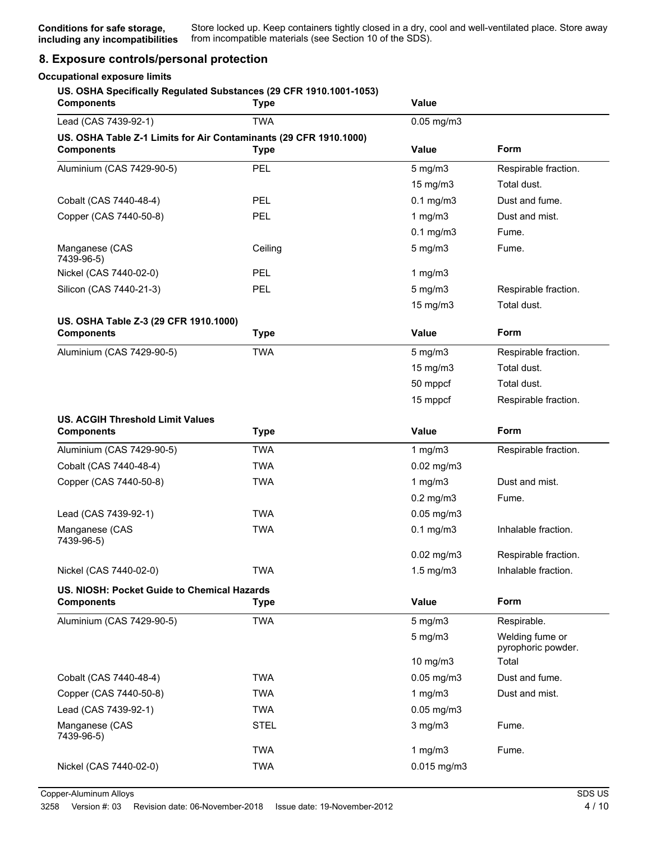### **8. Exposure controls/personal protection**

#### **Occupational exposure limits**

#### **US. OSHA Specifically Regulated Substances (29 CFR 1910.1001-1053)**

| <b>Components</b>                                                                      | <b>Type</b> | Value<br>$0.05$ mg/m $3$ |                                       |
|----------------------------------------------------------------------------------------|-------------|--------------------------|---------------------------------------|
| Lead (CAS 7439-92-1)                                                                   | <b>TWA</b>  |                          |                                       |
| US. OSHA Table Z-1 Limits for Air Contaminants (29 CFR 1910.1000)<br><b>Components</b> | <b>Type</b> | <b>Value</b>             | Form                                  |
| Aluminium (CAS 7429-90-5)                                                              | PEL         | $5$ mg/m $3$             | Respirable fraction.                  |
|                                                                                        |             | 15 mg/m3                 | Total dust.                           |
| Cobalt (CAS 7440-48-4)                                                                 | PEL         | $0.1$ mg/m $3$           | Dust and fume.                        |
| Copper (CAS 7440-50-8)                                                                 | PEL         | 1 $mg/m3$                | Dust and mist.                        |
|                                                                                        |             | $0.1$ mg/m $3$           | Fume.                                 |
| Manganese (CAS<br>7439-96-5)                                                           | Ceiling     | $5$ mg/m $3$             | Fume.                                 |
| Nickel (CAS 7440-02-0)                                                                 | PEL         | 1 $mg/m3$                |                                       |
| Silicon (CAS 7440-21-3)                                                                | PEL         | $5$ mg/m $3$             | Respirable fraction.                  |
|                                                                                        |             | 15 mg/m3                 | Total dust.                           |
| US. OSHA Table Z-3 (29 CFR 1910.1000)                                                  |             |                          |                                       |
| <b>Components</b>                                                                      | <b>Type</b> | <b>Value</b>             | Form                                  |
| Aluminium (CAS 7429-90-5)                                                              | <b>TWA</b>  | $5$ mg/m $3$             | Respirable fraction.                  |
|                                                                                        |             | 15 mg/m3                 | Total dust.                           |
|                                                                                        |             | 50 mppcf                 | Total dust.                           |
|                                                                                        |             | 15 mppcf                 | Respirable fraction.                  |
| <b>US. ACGIH Threshold Limit Values</b>                                                |             |                          |                                       |
| <b>Components</b>                                                                      | <b>Type</b> | Value                    | Form                                  |
| Aluminium (CAS 7429-90-5)                                                              | <b>TWA</b>  | 1 $mg/m3$                | Respirable fraction.                  |
| Cobalt (CAS 7440-48-4)                                                                 | TWA         | $0.02$ mg/m $3$          |                                       |
| Copper (CAS 7440-50-8)                                                                 | <b>TWA</b>  | 1 $mg/m3$                | Dust and mist.                        |
|                                                                                        |             | $0.2$ mg/m $3$           | Fume.                                 |
| Lead (CAS 7439-92-1)                                                                   | <b>TWA</b>  | $0.05$ mg/m $3$          |                                       |
| Manganese (CAS<br>7439-96-5)                                                           | <b>TWA</b>  | $0.1$ mg/m $3$           | Inhalable fraction.                   |
|                                                                                        |             | $0.02$ mg/m $3$          | Respirable fraction.                  |
| Nickel (CAS 7440-02-0)                                                                 | <b>TWA</b>  | $1.5 \text{ mg/m}$ 3     | Inhalable fraction.                   |
| US. NIOSH: Pocket Guide to Chemical Hazards<br><b>Components</b>                       | <b>Type</b> | Value                    | Form                                  |
| Aluminium (CAS 7429-90-5)                                                              | <b>TWA</b>  | $5$ mg/m $3$             | Respirable.                           |
|                                                                                        |             | $5$ mg/m $3$             | Welding fume or<br>pyrophoric powder. |
|                                                                                        |             | 10 mg/m3                 | Total                                 |
| Cobalt (CAS 7440-48-4)                                                                 | <b>TWA</b>  | $0.05$ mg/m $3$          | Dust and fume.                        |
| Copper (CAS 7440-50-8)                                                                 | <b>TWA</b>  | 1 $mg/m3$                | Dust and mist.                        |
| Lead (CAS 7439-92-1)                                                                   | <b>TWA</b>  | 0.05 mg/m3               |                                       |
| Manganese (CAS<br>7439-96-5)                                                           | <b>STEL</b> | $3$ mg/m $3$             | Fume.                                 |
|                                                                                        | <b>TWA</b>  | 1 $mg/m3$                | Fume.                                 |
| Nickel (CAS 7440-02-0)                                                                 | <b>TWA</b>  | $0.015$ mg/m3            |                                       |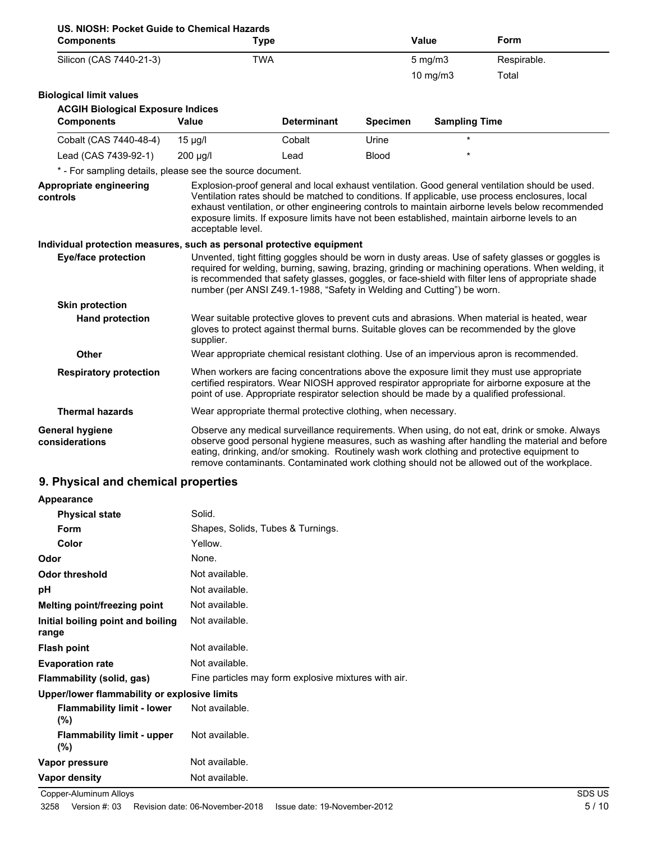| US. NIOSH: Pocket Guide to Chemical Hazards                           |                                                                                            |                    |                 |                      |                                                                                                                                                                                                                                                                                                                                                                                                         |
|-----------------------------------------------------------------------|--------------------------------------------------------------------------------------------|--------------------|-----------------|----------------------|---------------------------------------------------------------------------------------------------------------------------------------------------------------------------------------------------------------------------------------------------------------------------------------------------------------------------------------------------------------------------------------------------------|
| <b>Components</b>                                                     | <b>Type</b>                                                                                |                    |                 | <b>Value</b>         | Form                                                                                                                                                                                                                                                                                                                                                                                                    |
| Silicon (CAS 7440-21-3)                                               | <b>TWA</b>                                                                                 |                    |                 | $5$ mg/m $3$         | Respirable.                                                                                                                                                                                                                                                                                                                                                                                             |
|                                                                       |                                                                                            |                    |                 | 10 $mg/m3$           | Total                                                                                                                                                                                                                                                                                                                                                                                                   |
| <b>Biological limit values</b>                                        |                                                                                            |                    |                 |                      |                                                                                                                                                                                                                                                                                                                                                                                                         |
| <b>ACGIH Biological Exposure Indices</b>                              |                                                                                            |                    |                 |                      |                                                                                                                                                                                                                                                                                                                                                                                                         |
| <b>Components</b>                                                     | <b>Value</b>                                                                               | <b>Determinant</b> | <b>Specimen</b> | <b>Sampling Time</b> |                                                                                                                                                                                                                                                                                                                                                                                                         |
| Cobalt (CAS 7440-48-4)                                                | $15 \mu g/l$                                                                               | Cobalt             | Urine           |                      |                                                                                                                                                                                                                                                                                                                                                                                                         |
| Lead (CAS 7439-92-1)                                                  | $200 \mu g/l$                                                                              | Lead               | <b>Blood</b>    |                      |                                                                                                                                                                                                                                                                                                                                                                                                         |
| * - For sampling details, please see the source document.             |                                                                                            |                    |                 |                      |                                                                                                                                                                                                                                                                                                                                                                                                         |
| Appropriate engineering<br>controls                                   | acceptable level.                                                                          |                    |                 |                      | Explosion-proof general and local exhaust ventilation. Good general ventilation should be used.<br>Ventilation rates should be matched to conditions. If applicable, use process enclosures, local<br>exhaust ventilation, or other engineering controls to maintain airborne levels below recommended<br>exposure limits. If exposure limits have not been established, maintain airborne levels to an |
| Individual protection measures, such as personal protective equipment |                                                                                            |                    |                 |                      |                                                                                                                                                                                                                                                                                                                                                                                                         |
| <b>Eye/face protection</b>                                            | number (per ANSI Z49.1-1988, "Safety in Welding and Cutting") be worn.                     |                    |                 |                      | Unvented, tight fitting goggles should be worn in dusty areas. Use of safety glasses or goggles is<br>required for welding, burning, sawing, brazing, grinding or machining operations. When welding, it<br>is recommended that safety glasses, goggles, or face-shield with filter lens of appropriate shade                                                                                           |
| <b>Skin protection</b>                                                |                                                                                            |                    |                 |                      |                                                                                                                                                                                                                                                                                                                                                                                                         |
| <b>Hand protection</b>                                                | supplier.                                                                                  |                    |                 |                      | Wear suitable protective gloves to prevent cuts and abrasions. When material is heated, wear<br>gloves to protect against thermal burns. Suitable gloves can be recommended by the glove                                                                                                                                                                                                                |
| Other                                                                 |                                                                                            |                    |                 |                      | Wear appropriate chemical resistant clothing. Use of an impervious apron is recommended.                                                                                                                                                                                                                                                                                                                |
| <b>Respiratory protection</b>                                         | point of use. Appropriate respirator selection should be made by a qualified professional. |                    |                 |                      | When workers are facing concentrations above the exposure limit they must use appropriate<br>certified respirators. Wear NIOSH approved respirator appropriate for airborne exposure at the                                                                                                                                                                                                             |
| <b>Thermal hazards</b>                                                | Wear appropriate thermal protective clothing, when necessary.                              |                    |                 |                      |                                                                                                                                                                                                                                                                                                                                                                                                         |
| <b>General hygiene</b><br>considerations                              |                                                                                            |                    |                 |                      | Observe any medical surveillance requirements. When using, do not eat, drink or smoke. Always<br>observe good personal hygiene measures, such as washing after handling the material and before<br>eating, drinking, and/or smoking. Routinely wash work clothing and protective equipment to<br>remove contaminants. Contaminated work clothing should not be allowed out of the workplace.            |

## **9. Physical and chemical properties**

| Appearance                                   |                                                      |
|----------------------------------------------|------------------------------------------------------|
| <b>Physical state</b>                        | Solid.                                               |
| Form                                         | Shapes, Solids, Tubes & Turnings.                    |
| Color                                        | Yellow.                                              |
| Odor                                         | None.                                                |
| <b>Odor threshold</b>                        | Not available.                                       |
| рH                                           | Not available.                                       |
| Melting point/freezing point                 | Not available.                                       |
| Initial boiling point and boiling<br>range   | Not available.                                       |
| <b>Flash point</b>                           | Not available.                                       |
| <b>Evaporation rate</b>                      | Not available.                                       |
| Flammability (solid, gas)                    | Fine particles may form explosive mixtures with air. |
| Upper/lower flammability or explosive limits |                                                      |
| <b>Flammability limit - lower</b><br>$(\% )$ | Not available.                                       |
| <b>Flammability limit - upper</b><br>$(\% )$ | Not available.                                       |
| Vapor pressure                               | Not available.                                       |
| <b>Vapor density</b>                         | Not available.                                       |

Copper-Aluminum Alloys SDS US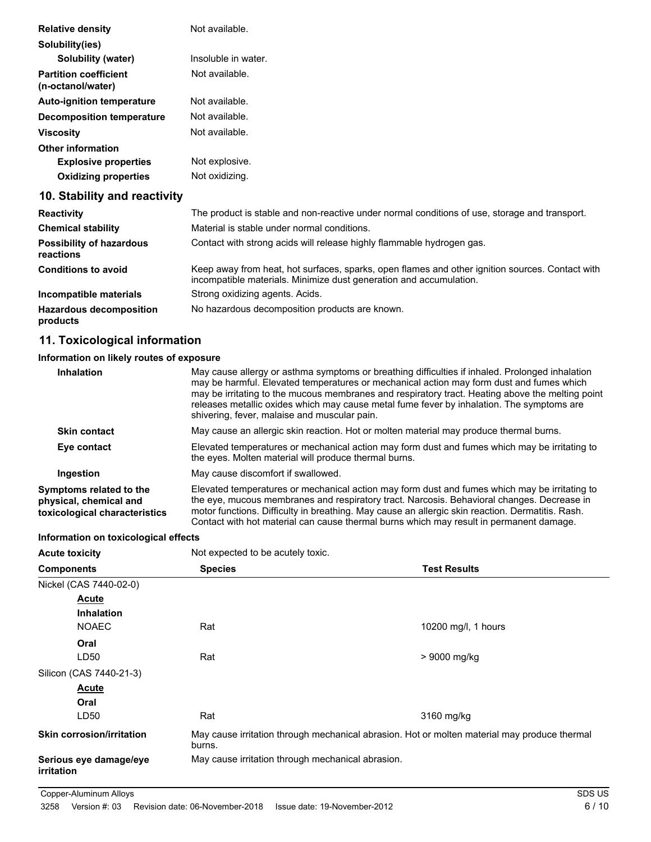| <b>Relative density</b>                           | Not available.      |
|---------------------------------------------------|---------------------|
| Solubility(ies)                                   |                     |
| Solubility (water)                                | Insoluble in water. |
| <b>Partition coefficient</b><br>(n-octanol/water) | Not available.      |
| <b>Auto-ignition temperature</b>                  | Not available.      |
| <b>Decomposition temperature</b>                  | Not available.      |
| <b>Viscosity</b>                                  | Not available.      |
| <b>Other information</b>                          |                     |
| <b>Explosive properties</b>                       | Not explosive.      |
| <b>Oxidizing properties</b>                       | Not oxidizing.      |
| 10. Stability and reactivity                      |                     |

| <b>Reactivity</b>                            | The product is stable and non-reactive under normal conditions of use, storage and transport.                                                                         |
|----------------------------------------------|-----------------------------------------------------------------------------------------------------------------------------------------------------------------------|
| <b>Chemical stability</b>                    | Material is stable under normal conditions.                                                                                                                           |
| <b>Possibility of hazardous</b><br>reactions | Contact with strong acids will release highly flammable hydrogen gas.                                                                                                 |
| <b>Conditions to avoid</b>                   | Keep away from heat, hot surfaces, sparks, open flames and other ignition sources. Contact with<br>incompatible materials. Minimize dust generation and accumulation. |
| Incompatible materials                       | Strong oxidizing agents. Acids.                                                                                                                                       |
| <b>Hazardous decomposition</b><br>products   | No hazardous decomposition products are known.                                                                                                                        |

### **11. Toxicological information**

### **Information on likely routes of exposure**

| <b>Inhalation</b>                                                                  | May cause allergy or asthma symptoms or breathing difficulties if inhaled. Prolonged inhalation<br>may be harmful. Elevated temperatures or mechanical action may form dust and fumes which<br>may be irritating to the mucous membranes and respiratory tract. Heating above the melting point<br>releases metallic oxides which may cause metal fume fever by inhalation. The symptoms are<br>shivering, fever, malaise and muscular pain. |
|------------------------------------------------------------------------------------|----------------------------------------------------------------------------------------------------------------------------------------------------------------------------------------------------------------------------------------------------------------------------------------------------------------------------------------------------------------------------------------------------------------------------------------------|
| <b>Skin contact</b>                                                                | May cause an allergic skin reaction. Hot or molten material may produce thermal burns.                                                                                                                                                                                                                                                                                                                                                       |
| Eye contact                                                                        | Elevated temperatures or mechanical action may form dust and fumes which may be irritating to<br>the eyes. Molten material will produce thermal burns.                                                                                                                                                                                                                                                                                       |
| Ingestion                                                                          | May cause discomfort if swallowed.                                                                                                                                                                                                                                                                                                                                                                                                           |
| Symptoms related to the<br>physical, chemical and<br>toxicological characteristics | Elevated temperatures or mechanical action may form dust and fumes which may be irritating to<br>the eye, mucous membranes and respiratory tract. Narcosis. Behavioral changes. Decrease in<br>motor functions. Difficulty in breathing. May cause an allergic skin reaction. Dermatitis. Rash.<br>Contact with hot material can cause thermal burns which may result in permanent damage.                                                   |

### **Information on toxicological effects**

| <b>Acute toxicity</b>                | Not expected to be acutely toxic.                                                                      |                     |
|--------------------------------------|--------------------------------------------------------------------------------------------------------|---------------------|
| <b>Components</b>                    | <b>Species</b>                                                                                         | <b>Test Results</b> |
| Nickel (CAS 7440-02-0)               |                                                                                                        |                     |
| <b>Acute</b>                         |                                                                                                        |                     |
| <b>Inhalation</b>                    |                                                                                                        |                     |
| <b>NOAEC</b>                         | Rat                                                                                                    | 10200 mg/l, 1 hours |
| Oral                                 |                                                                                                        |                     |
| LD50                                 | Rat                                                                                                    | > 9000 mg/kg        |
| Silicon (CAS 7440-21-3)              |                                                                                                        |                     |
| <b>Acute</b>                         |                                                                                                        |                     |
| Oral                                 |                                                                                                        |                     |
| LD50                                 | Rat                                                                                                    | 3160 mg/kg          |
| <b>Skin corrosion/irritation</b>     | May cause irritation through mechanical abrasion. Hot or molten material may produce thermal<br>burns. |                     |
| Serious eye damage/eye<br>irritation | May cause irritation through mechanical abrasion.                                                      |                     |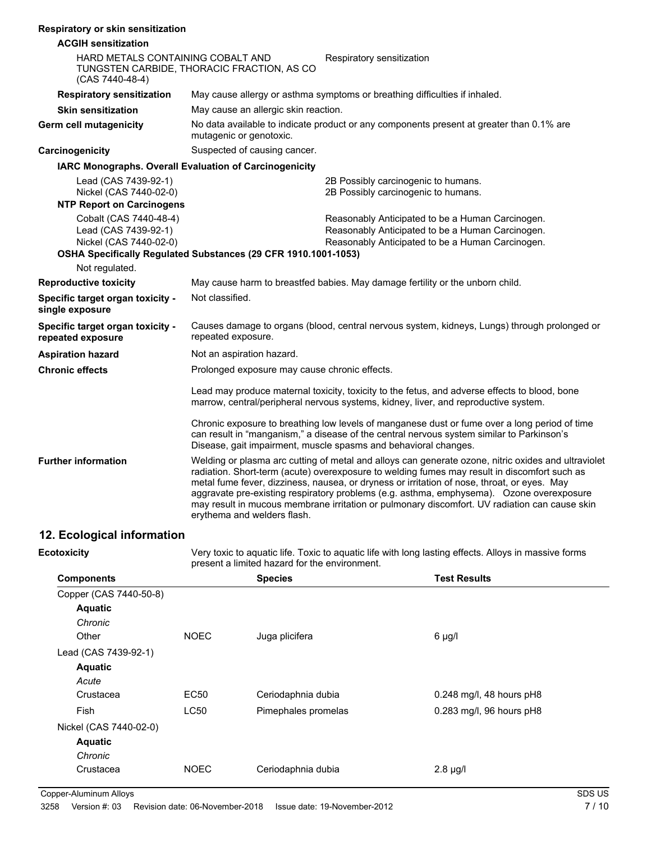#### **Respiratory or skin sensitization**

| <b>ACGIH sensitization</b>                                                                         |                                                                                                                     |                                                                                                                                                                                                                                                                                                                                                                                                                                                                                                 |  |
|----------------------------------------------------------------------------------------------------|---------------------------------------------------------------------------------------------------------------------|-------------------------------------------------------------------------------------------------------------------------------------------------------------------------------------------------------------------------------------------------------------------------------------------------------------------------------------------------------------------------------------------------------------------------------------------------------------------------------------------------|--|
| HARD METALS CONTAINING COBALT AND<br>TUNGSTEN CARBIDE, THORACIC FRACTION, AS CO<br>(CAS 7440-48-4) |                                                                                                                     | Respiratory sensitization                                                                                                                                                                                                                                                                                                                                                                                                                                                                       |  |
| <b>Respiratory sensitization</b>                                                                   | May cause allergy or asthma symptoms or breathing difficulties if inhaled.                                          |                                                                                                                                                                                                                                                                                                                                                                                                                                                                                                 |  |
| <b>Skin sensitization</b>                                                                          | May cause an allergic skin reaction.                                                                                |                                                                                                                                                                                                                                                                                                                                                                                                                                                                                                 |  |
| Germ cell mutagenicity                                                                             | No data available to indicate product or any components present at greater than 0.1% are<br>mutagenic or genotoxic. |                                                                                                                                                                                                                                                                                                                                                                                                                                                                                                 |  |
| Carcinogenicity                                                                                    | Suspected of causing cancer.                                                                                        |                                                                                                                                                                                                                                                                                                                                                                                                                                                                                                 |  |
|                                                                                                    | <b>IARC Monographs. Overall Evaluation of Carcinogenicity</b>                                                       |                                                                                                                                                                                                                                                                                                                                                                                                                                                                                                 |  |
| Lead (CAS 7439-92-1)<br>Nickel (CAS 7440-02-0)<br><b>NTP Report on Carcinogens</b>                 |                                                                                                                     | 2B Possibly carcinogenic to humans.<br>2B Possibly carcinogenic to humans.                                                                                                                                                                                                                                                                                                                                                                                                                      |  |
| Cobalt (CAS 7440-48-4)<br>Lead (CAS 7439-92-1)<br>Nickel (CAS 7440-02-0)                           | OSHA Specifically Regulated Substances (29 CFR 1910.1001-1053)                                                      | Reasonably Anticipated to be a Human Carcinogen.<br>Reasonably Anticipated to be a Human Carcinogen.<br>Reasonably Anticipated to be a Human Carcinogen.                                                                                                                                                                                                                                                                                                                                        |  |
| Not regulated.                                                                                     |                                                                                                                     |                                                                                                                                                                                                                                                                                                                                                                                                                                                                                                 |  |
| <b>Reproductive toxicity</b>                                                                       |                                                                                                                     | May cause harm to breastfed babies. May damage fertility or the unborn child.                                                                                                                                                                                                                                                                                                                                                                                                                   |  |
| Specific target organ toxicity -<br>single exposure                                                | Not classified.                                                                                                     |                                                                                                                                                                                                                                                                                                                                                                                                                                                                                                 |  |
| Specific target organ toxicity -<br>repeated exposure                                              | repeated exposure.                                                                                                  | Causes damage to organs (blood, central nervous system, kidneys, Lungs) through prolonged or                                                                                                                                                                                                                                                                                                                                                                                                    |  |
| <b>Aspiration hazard</b>                                                                           | Not an aspiration hazard.                                                                                           |                                                                                                                                                                                                                                                                                                                                                                                                                                                                                                 |  |
| <b>Chronic effects</b>                                                                             | Prolonged exposure may cause chronic effects.                                                                       |                                                                                                                                                                                                                                                                                                                                                                                                                                                                                                 |  |
|                                                                                                    |                                                                                                                     | Lead may produce maternal toxicity, toxicity to the fetus, and adverse effects to blood, bone<br>marrow, central/peripheral nervous systems, kidney, liver, and reproductive system.                                                                                                                                                                                                                                                                                                            |  |
|                                                                                                    |                                                                                                                     | Chronic exposure to breathing low levels of manganese dust or fume over a long period of time<br>can result in "manganism," a disease of the central nervous system similar to Parkinson's<br>Disease, gait impairment, muscle spasms and behavioral changes.                                                                                                                                                                                                                                   |  |
| <b>Further information</b>                                                                         | erythema and welders flash.                                                                                         | Welding or plasma arc cutting of metal and alloys can generate ozone, nitric oxides and ultraviolet<br>radiation. Short-term (acute) overexposure to welding fumes may result in discomfort such as<br>metal fume fever, dizziness, nausea, or dryness or irritation of nose, throat, or eyes. May<br>aggravate pre-existing respiratory problems (e.g. asthma, emphysema). Ozone overexposure<br>may result in mucous membrane irritation or pulmonary discomfort. UV radiation can cause skin |  |
|                                                                                                    |                                                                                                                     |                                                                                                                                                                                                                                                                                                                                                                                                                                                                                                 |  |

### **12. Ecological information**

Very toxic to aquatic life. Toxic to aquatic life with long lasting effects. Alloys in massive forms present a limited hazard for the environment. **Ecotoxicity Components Species Test Results** Copper (CAS 7440-50-8) **Aquatic** *Chronic* Other **NOEC** Juga plicifera **6 µg/l** Lead (CAS 7439-92-1) **Aquatic** *Acute* Crustacea EC50 Ceriodaphnia dubia 0.248 mg/l, 48 hours pH8 Fish CC50 Pimephales promelas 0.283 mg/l, 96 hours pH8 Nickel (CAS 7440-02-0) **Aquatic** *Chronic* Crustacea NOEC Ceriodaphnia dubia 2.8 µg/l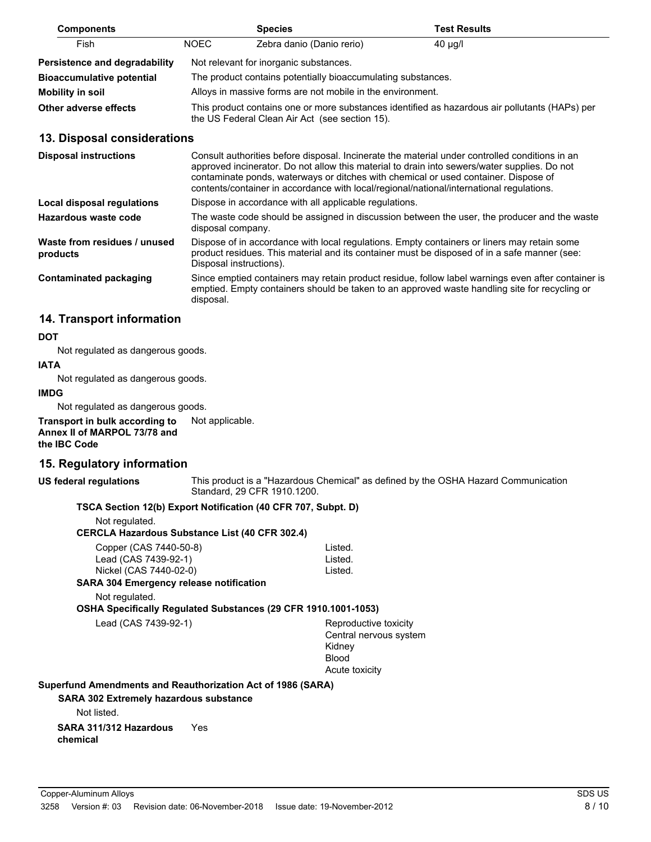| <b>Components</b>                    |       | <b>Species</b>                                               | <b>Test Results</b>                                                                            |
|--------------------------------------|-------|--------------------------------------------------------------|------------------------------------------------------------------------------------------------|
| Fish                                 | NOEC. | Zebra danio (Danio rerio)                                    | $40 \mu g/l$                                                                                   |
| <b>Persistence and degradability</b> |       | Not relevant for inorganic substances.                       |                                                                                                |
| <b>Bioaccumulative potential</b>     |       | The product contains potentially bioaccumulating substances. |                                                                                                |
| Mobility in soil                     |       | Alloys in massive forms are not mobile in the environment.   |                                                                                                |
| Other adverse effects                |       | the US Federal Clean Air Act (see section 15).               | This product contains one or more substances identified as hazardous air pollutants (HAPs) per |

#### **13. Disposal considerations**

| <b>Disposal instructions</b>             | Consult authorities before disposal. Incinerate the material under controlled conditions in an<br>approved incinerator. Do not allow this material to drain into sewers/water supplies. Do not<br>contaminate ponds, waterways or ditches with chemical or used container. Dispose of<br>contents/container in accordance with local/regional/national/international regulations. |
|------------------------------------------|-----------------------------------------------------------------------------------------------------------------------------------------------------------------------------------------------------------------------------------------------------------------------------------------------------------------------------------------------------------------------------------|
| Local disposal regulations               | Dispose in accordance with all applicable regulations.                                                                                                                                                                                                                                                                                                                            |
| Hazardous waste code                     | The waste code should be assigned in discussion between the user, the producer and the waste<br>disposal company.                                                                                                                                                                                                                                                                 |
| Waste from residues / unused<br>products | Dispose of in accordance with local regulations. Empty containers or liners may retain some<br>product residues. This material and its container must be disposed of in a safe manner (see:<br>Disposal instructions).                                                                                                                                                            |
| <b>Contaminated packaging</b>            | Since emptied containers may retain product residue, follow label warnings even after container is<br>emptied. Empty containers should be taken to an approved waste handling site for recycling or<br>disposal.                                                                                                                                                                  |

### **14. Transport information**

#### **DOT**

Not regulated as dangerous goods.

#### **IATA**

Not regulated as dangerous goods.

#### **IMDG**

Not regulated as dangerous goods.

**Transport in bulk according to** Not applicable. **Annex II of MARPOL 73/78 and the IBC Code**

### **15. Regulatory information**

#### **US federal regulations**

This product is a "Hazardous Chemical" as defined by the OSHA Hazard Communication Standard, 29 CFR 1910.1200.

#### **TSCA Section 12(b) Export Notification (40 CFR 707, Subpt. D)**

Not regulated.

| CERCLA Hazardous Substance List (40 CFR 302.4) |  |
|------------------------------------------------|--|
|------------------------------------------------|--|

| Copper (CAS 7440-50-8)               | Listed. |
|--------------------------------------|---------|
| Lead (CAS 7439-92-1)                 | Listed. |
| Nickel (CAS 7440-02-0)               | Listed. |
| DA 904 Empresar prizesa patification |         |

### **SARA 304 Emergency release notification**

Not regulated.

**OSHA Specifically Regulated Substances (29 CFR 1910.1001-1053)**

Lead (CAS 7439-92-1) Reproductive toxicity

Central nervous system Kidney Blood Acute toxicity

#### **Superfund Amendments and Reauthorization Act of 1986 (SARA)**

**SARA 302 Extremely hazardous substance**

Not listed.

**SARA 311/312 Hazardous** Yes **chemical**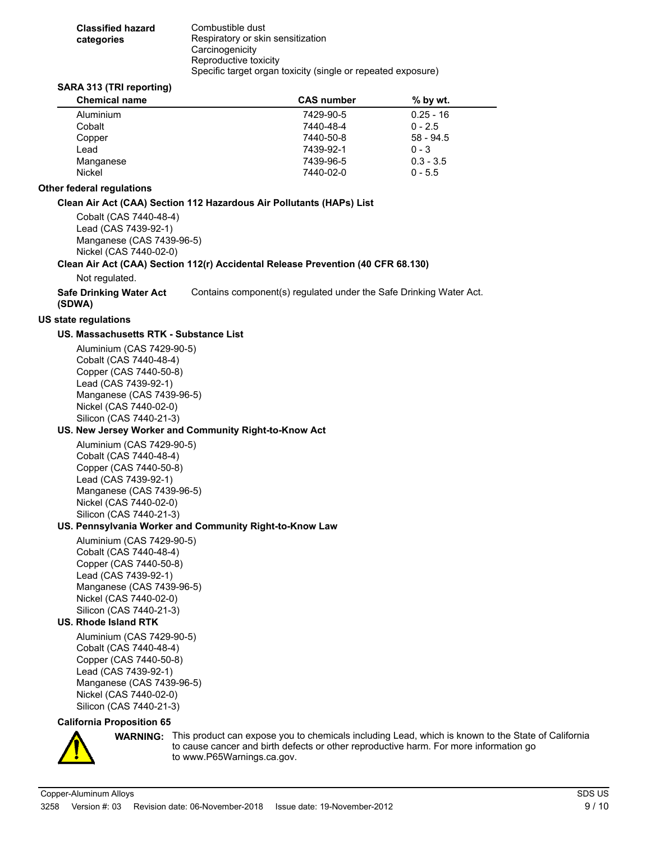| <b>Classified hazard</b> | Combustible dust                                             |
|--------------------------|--------------------------------------------------------------|
| categories               | Respiratory or skin sensitization                            |
|                          | Carcinogenicity                                              |
|                          | Reproductive toxicity                                        |
|                          | Specific target organ toxicity (single or repeated exposure) |

#### **SARA 313 (TRI reporting)**

| <b>Chemical name</b> | <b>CAS number</b> | $%$ by wt.  |
|----------------------|-------------------|-------------|
| Aluminium            | 7429-90-5         | $0.25 - 16$ |
| Cobalt               | 7440-48-4         | $0 - 2.5$   |
| Copper               | 7440-50-8         | $58 - 94.5$ |
| Lead                 | 7439-92-1         | $0 - 3$     |
| Manganese            | 7439-96-5         | $0.3 - 3.5$ |
| <b>Nickel</b>        | 7440-02-0         | $0 - 5.5$   |

#### **Other federal regulations**

#### **Clean Air Act (CAA) Section 112 Hazardous Air Pollutants (HAPs) List**

Cobalt (CAS 7440-48-4) Lead (CAS 7439-92-1) Manganese (CAS 7439-96-5) Nickel (CAS 7440-02-0)

#### **Clean Air Act (CAA) Section 112(r) Accidental Release Prevention (40 CFR 68.130)**

Not regulated.

**Safe Drinking Water Act** Contains component(s) regulated under the Safe Drinking Water Act. **(SDWA)**

#### **US state regulations**

#### **US. Massachusetts RTK - Substance List**

Aluminium (CAS 7429-90-5) Cobalt (CAS 7440-48-4) Copper (CAS 7440-50-8) Lead (CAS 7439-92-1) Manganese (CAS 7439-96-5) Nickel (CAS 7440-02-0) Silicon (CAS 7440-21-3)

#### **US. New Jersey Worker and Community Right-to-Know Act**

Aluminium (CAS 7429-90-5) Cobalt (CAS 7440-48-4) Copper (CAS 7440-50-8) Lead (CAS 7439-92-1) Manganese (CAS 7439-96-5) Nickel (CAS 7440-02-0) Silicon (CAS 7440-21-3)

#### **US. Pennsylvania Worker and Community Right-to-Know Law**

Aluminium (CAS 7429-90-5) Cobalt (CAS 7440-48-4) Copper (CAS 7440-50-8) Lead (CAS 7439-92-1) Manganese (CAS 7439-96-5) Nickel (CAS 7440-02-0) Silicon (CAS 7440-21-3)

#### **US. Rhode Island RTK**

Aluminium (CAS 7429-90-5) Cobalt (CAS 7440-48-4) Copper (CAS 7440-50-8) Lead (CAS 7439-92-1) Manganese (CAS 7439-96-5) Nickel (CAS 7440-02-0) Silicon (CAS 7440-21-3)

#### **California Proposition 65**



**WARNING:** This product can expose you to chemicals including Lead, which is known to the State of California to cause cancer and birth defects or other reproductive harm. For more information go to www.P65Warnings.ca.gov.